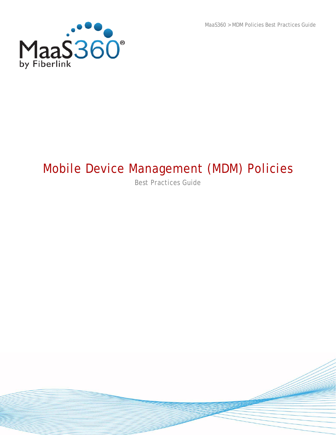MaaS360 > MDM Policies Best Practices Guide



# Mobile Device Management (MDM) Policies

Best Practices Guide

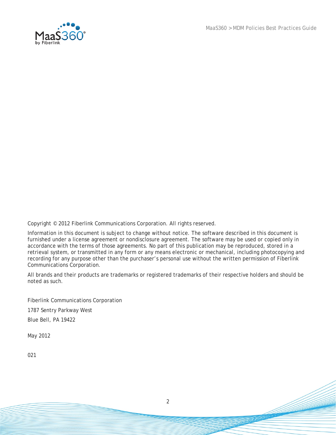MaaS360 > MDM Policies Best Practices Guide



Copyright © 2012 Fiberlink Communications Corporation. All rights reserved.

Information in this document is subject to change without notice. The software described in this document is furnished under a license agreement or nondisclosure agreement. The software may be used or copied only in accordance with the terms of those agreements. No part of this publication may be reproduced, stored in a retrieval system, or transmitted in any form or any means electronic or mechanical, including photocopying and recording for any purpose other than the purchaser's personal use without the written permission of Fiberlink Communications Corporation.

All brands and their products are trademarks or registered trademarks of their respective holders and should be noted as such.

Fiberlink Communications Corporation 1787 Sentry Parkway West Blue Bell, PA 19422

May 2012

021

2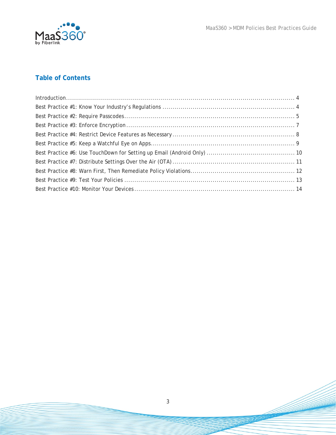



### **Table of Contents**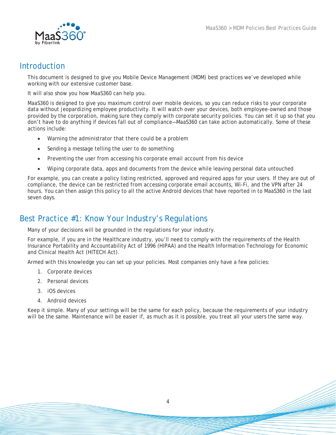

### <span id="page-3-0"></span>Introduction

This document is designed to give you Mobile Device Management (MDM) best practices we've developed while working with our extensive customer base.

It will also show you how MaaS360 can help you.

MaaS360 is designed to give you maximum control over mobile devices, so you can reduce risks to your corporate data without jeopardizing employee productivity. It will watch over your devices, both employee-owned and those provided by the corporation, making sure they comply with corporate security policies. You can set it up so that you don't have to do anything if devices fall out of compliance—MaaS360 can take action automatically. Some of these actions include:

- Warning the administrator that there could be a problem
- Sending a message telling the user to do something
- Preventing the user from accessing his corporate email account from his device
- Wiping corporate data, apps and documents from the device while leaving personal data untouched

For example, you can create a policy listing restricted, approved and required apps for your users. If they are out of compliance, the device can be restricted from accessing corporate email accounts, Wi-Fi, and the VPN after 24 hours. You can then assign this policy to all the active Android devices that have reported in to MaaS360 in the last seven days.

### <span id="page-3-1"></span>Best Practice #1: Know Your Industry's Regulations

Many of your decisions will be grounded in the regulations for your industry.

For example, if you are in the Healthcare industry, you'll need to comply with the requirements of the Health Insurance Portability and Accountability Act of 1996 (HIPAA) and the Health Information Technology for Economic and Clinical Health Act (HITECH Act).

Armed with this knowledge you can set up your policies. Most companies only have a few policies:

- 1. Corporate devices
- 2. Personal devices
- 3. iOS devices
- 4. Android devices

Keep it simple. Many of your settings will be the same for each policy, because the requirements of your industry will be the same. Maintenance will be easier if, as much as it is possible, you treat all your users the same way.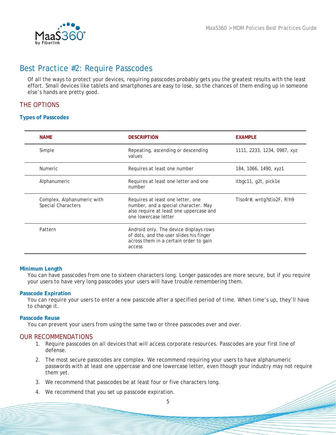# <span id="page-4-0"></span>Best Practice #2: Require Passcodes

Of all the ways to protect your devices, requiring passcodes probably gets you the greatest results with the least effort. Small devices like tablets and smartphones are easy to lose, so the chances of them ending up in someone else's hands are pretty good.

### THE OPTIONS

#### **Types of Passcodes**

| <b>NAME</b>                                      | <b>DESCRIPTION</b>                                                                                                                           | <b>EXAMPLE</b>              |
|--------------------------------------------------|----------------------------------------------------------------------------------------------------------------------------------------------|-----------------------------|
| Simple                                           | Repeating, ascending or descending<br>values                                                                                                 | 1111, 2233, 1234, 0987, xyz |
| <b>Numeric</b>                                   | Requires at least one number                                                                                                                 | 184, 1066, 1490, xyz1       |
| Alphanumeric                                     | Requires at least one letter and one<br>number                                                                                               | itbgc11, g2t, pick1e        |
| Complex, Alphanumeric with<br>Special Characters | Requires at least one letter, one<br>number, and a special character. May<br>also require at least one uppercase and<br>one lowercase letter | TIso4r#, wntg?stio2F, R!h9  |
| Pattern                                          | Android only. The device displays rows<br>of dots, and the user slides his finger<br>across them in a certain order to gain<br>access        |                             |

#### **Minimum Length**

You can have passcodes from one to sixteen characters long. Longer passcodes are more secure, but if you require your users to have very long passcodes your users will have trouble remembering them.

#### **Passcode Expiration**

You can require your users to enter a new passcode after a specified period of time. When time's up, they'll have to change it.

#### **Passcode Reuse**

You can prevent your users from using the same two or three passcodes over and over.

#### OUR RECOMMENDATIONS

- 1. Require passcodes on all devices that will access corporate resources. Passcodes are your first line of defense.
- 2. The most secure passcodes are complex. We recommend requiring your users to have alphanumeric passwords with at least one uppercase and one lowercase letter, even though your industry may not require them yet.
- 3. We recommend that passcodes be at least four or five characters long.
- 4. We recommend that you set up passcode expiration.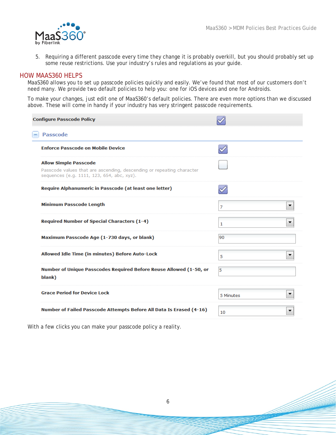

5. Requiring a different passcode *every* time they change it is probably overkill, but you should probably set up some reuse restrictions. Use your industry's rules and regulations as your guide.

### HOW MAAS360 HELPS

MaaS360 allows you to set up passcode policies quickly and easily. We've found that most of our customers don't need many. We provide two default policies to help you: one for iOS devices and one for Androids.

To make your changes, just edit one of MaaS360's default policies. There are even more options than we discussed above. These will come in handy if your industry has very stringent passcode requirements.

| <b>Configure Passcode Policy</b>                                                                                                                    |           |
|-----------------------------------------------------------------------------------------------------------------------------------------------------|-----------|
| <b>Passcode</b>                                                                                                                                     |           |
| <b>Enforce Passcode on Mobile Device</b>                                                                                                            |           |
| <b>Allow Simple Passcode</b><br>Passcode values that are ascending, descending or repeating character<br>sequences (e.g. 1111, 123, 654, abc, xyz). |           |
| Require Alphanumeric in Passcode (at least one letter)                                                                                              |           |
| <b>Minimum Passcode Length</b>                                                                                                                      | 7         |
| Required Number of Special Characters (1-4)                                                                                                         | 1         |
| Maximum Passcode Age (1-730 days, or blank)                                                                                                         | 90        |
| Allowed Idle Time (in minutes) Before Auto-Lock                                                                                                     | 5         |
| Number of Unique Passcodes Required Before Reuse Allowed (1-50, or<br>blank)                                                                        | 5         |
| <b>Grace Period for Device Lock</b>                                                                                                                 | 5 Minutes |
| Number of Failed Passcode Attempts Before All Data Is Erased (4-16)                                                                                 | 10        |
|                                                                                                                                                     |           |

With a few clicks you can make your passcode policy a reality.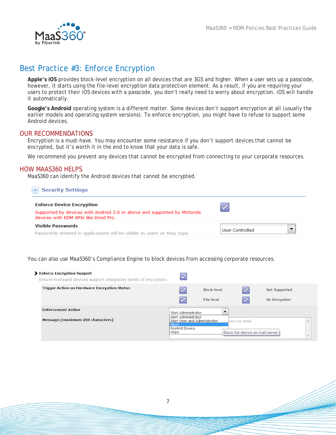

# <span id="page-6-0"></span>Best Practice #3: Enforce Encryption

**Apple's iOS** provides block-level encryption on all devices that are 3GS and higher. When a user sets up a passcode, however, it starts using the file-level encryption data protection element. As a result, if you are requiring your users to protect their iOS devices with a passcode, you don't really need to worry about encryption. iOS will handle it automatically.

**Google's Android** operating system is a different matter. Some devices don't support encryption at all (usually the earlier models and operating system versions). To enforce encryption, you might have to refuse to support some Android devices.

#### OUR RECOMMENDATIONS

Encryption is a must-have. You may encounter some resistance if you don't support devices that cannot be encrypted, but it's worth it in the end to know that your data is safe.

We recommend you prevent any devices that cannot be encrypted from connecting to your corporate resources.

#### HOW MAAS360 HELPS

MaaS360 can identify the Android devices that cannot be encrypted.

| <b>Security Settings</b>                                                                                          |                 |
|-------------------------------------------------------------------------------------------------------------------|-----------------|
| <b>Enforce Device Encryption</b>                                                                                  |                 |
| Supported by devices with Android 3.0 or above and supported by Motorola<br>devices with EDM APIs like Droid Pro. |                 |
| Visible Passwords                                                                                                 | User Controlled |
| Passwords entered in applications will be visible to users as they type.                                          |                 |

You can also use MaaS360's Compliance Engine to block devices from accessing corporate resources.

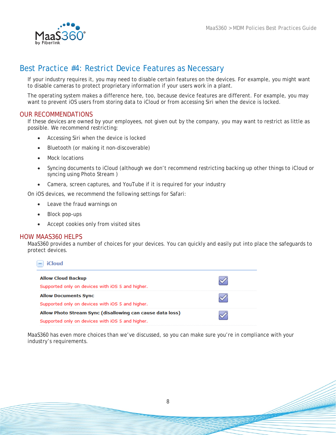

# <span id="page-7-0"></span>Best Practice #4: Restrict Device Features as Necessary

If your industry requires it, you may need to disable certain features on the devices. For example, you might want to disable cameras to protect proprietary information if your users work in a plant.

The operating system makes a difference here, too, because device features are different. For example, you may want to prevent iOS users from storing data to iCloud or from accessing Siri when the device is locked.

#### OUR RECOMMENDATIONS

If these devices are owned by your employees, not given out by the company, you may want to restrict as little as possible. We recommend restricting:

- Accessing Siri when the device is locked
- Bluetooth (or making it non-discoverable)
- Mock locations
- Syncing documents to iCloud (although we don't recommend restricting backing up other things to iCloud or syncing using Photo Stream )
- Camera, screen captures, and YouTube if it is required for your industry

On iOS devices, we recommend the following settings for Safari:

- Leave the fraud warnings on
- Block pop-ups
- Accept cookies only from visited sites

#### HOW MAAS360 HELPS

MaaS360 provides a number of choices for your devices. You can quickly and easily put into place the safeguards to protect devices.

| <b>Allow Cloud Backup</b><br>Supported only on devices with iOS 5 and higher.                                 |  |
|---------------------------------------------------------------------------------------------------------------|--|
| <b>Allow Documents Sync</b><br>Supported only on devices with iOS 5 and higher.                               |  |
| Allow Photo Stream Sync (disallowing can cause data loss)<br>Supported only on devices with iOS 5 and higher. |  |

MaaS360 has even more choices than we've discussed, so you can make sure you're in compliance with your industry's requirements.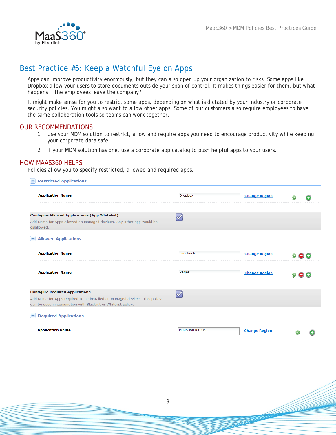

# <span id="page-8-0"></span>Best Practice #5: Keep a Watchful Eye on Apps

Apps can improve productivity enormously, but they can also open up your organization to risks. Some apps like Dropbox allow your users to store documents outside your span of control. It makes things easier for them, but what happens if the employees leave the company?

It might make sense for you to restrict some apps, depending on what is dictated by your industry or corporate security policies. You might also want to allow other apps. Some of our customers also require employees to have the same collaboration tools so teams can work together.

#### OUR RECOMMENDATIONS

- 1. Use your MDM solution to restrict, allow and require apps you need to encourage productivity while keeping your corporate data safe.
- 2. If your MDM solution has one, use a corporate app catalog to push helpful apps to your users.

#### HOW MAAS360 HELPS

Policies allow you to specify restricted, allowed and required apps.

| <b>Restricted Applications</b>                                                                                                               |                                                           |                      |  |
|----------------------------------------------------------------------------------------------------------------------------------------------|-----------------------------------------------------------|----------------------|--|
| <b>Application Name</b>                                                                                                                      | <b>Dropbox</b>                                            | <b>Change Region</b> |  |
| <b>Configure Allowed Applications (App Whitelist)</b><br>Add Name for Apps allowed on managed devices. Any other app would be<br>disallowed. | $\overline{\mathscr{S}}$                                  |                      |  |
| <b>Allowed Applications</b>                                                                                                                  |                                                           |                      |  |
| <b>Application Name</b>                                                                                                                      | Facebook                                                  | <b>Change Region</b> |  |
| <b>Application Name</b>                                                                                                                      | Pages                                                     | <b>Change Region</b> |  |
| <b>Configure Required Applications</b>                                                                                                       | $\mathscr{S}% _{M_{1},M_{2}}^{\alpha,\beta}(\varepsilon)$ |                      |  |
| Add Name for Apps required to be installed on managed devices. This policy<br>can be used in conjunction with Blacklist or Whitelist policy. |                                                           |                      |  |
| <b>Required Applications</b>                                                                                                                 |                                                           |                      |  |
| <b>Application Name</b>                                                                                                                      | MaaS360 for iOS                                           | <b>Change Region</b> |  |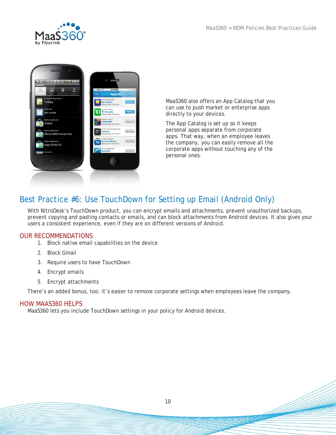



MaaS360 also offers an App Catalog that you can use to push market or enterprise apps directly to your devices.

The App Catalog is set up so it keeps personal apps separate from corporate apps. That way, when an employee leaves the company, you can easily remove all the corporate apps without touching any of the personal ones.

# <span id="page-9-0"></span>Best Practice #6: Use TouchDown for Setting up Email (Android Only)

With NitroDesk's TouchDown product, you can encrypt emails and attachments, prevent unauthorized backups, prevent copying and pasting contacts or emails, and can block attachments from Android devices. It also gives your users a consistent experience, even if they are on different versions of Android.

### OUR RECOMMENDATIONS

- 1. Block native email capabilities on the device
- 2. Block Gmail
- 3. Require users to have TouchDown
- 4. Encrypt emails
- 5. Encrypt attachments

There's an added bonus, too: it's easier to remove corporate settings when employees leave the company.

### HOW MAAS360 HELPS

MaaS360 lets you include TouchDown settings in your policy for Android devices.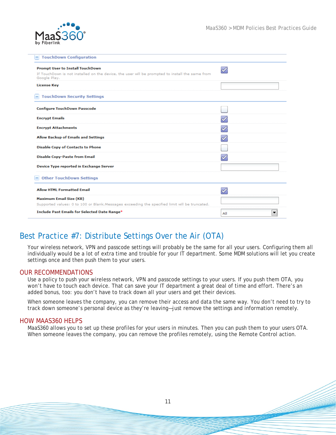

| <b>TouchDown Configuration</b>                                                                                                                             |     |
|------------------------------------------------------------------------------------------------------------------------------------------------------------|-----|
| <b>Prompt User to Install TouchDown</b><br>If TouchDown is not installed on the device, the user will be prompted to install the same from<br>Google Play. |     |
| <b>License Key</b>                                                                                                                                         |     |
| <b>TouchDown Security Settings</b>                                                                                                                         |     |
| <b>Configure TouchDown Passcode</b>                                                                                                                        |     |
| <b>Encrypt Emails</b>                                                                                                                                      |     |
| <b>Encrypt Attachments</b>                                                                                                                                 |     |
| <b>Allow Backup of Emails and Settings</b>                                                                                                                 |     |
| <b>Disable Copy of Contacts to Phone</b>                                                                                                                   |     |
| <b>Disable Copy-Paste from Email</b>                                                                                                                       |     |
| Device Type reported in Exchange Server                                                                                                                    |     |
| <b>Other TouchDown Settings</b>                                                                                                                            |     |
| <b>Allow HTML Formatted Email</b>                                                                                                                          |     |
| <b>Maximum Email Size (KB)</b>                                                                                                                             |     |
| Supported values: 0 to 100 or Blank. Messages exceeding the specified limit will be truncated.                                                             |     |
| Include Past Emails for Selected Date Range*                                                                                                               | All |

# <span id="page-10-0"></span>Best Practice #7: Distribute Settings Over the Air (OTA)

Your wireless network, VPN and passcode settings will probably be the same for all your users. Configuring them all individually would be a lot of extra time and trouble for your IT department. Some MDM solutions will let you create settings once and then push them to your users.

#### OUR RECOMMENDATIONS

Use a policy to push your wireless network, VPN and passcode settings to your users. If you push them OTA, you won't have to touch each device. That can save your IT department a great deal of time and effort. There's an added bonus, too: you don't have to track down all your users and get their devices.

When someone leaves the company, you can remove their access and data the same way. You don't need to try to track down someone's personal device as they're leaving—just remove the settings and information remotely.

#### HOW MAAS360 HELPS

MaaS360 allows you to set up these profiles for your users in minutes. Then you can push them to your users OTA. When someone leaves the company, you can remove the profiles remotely, using the Remote Control action.

11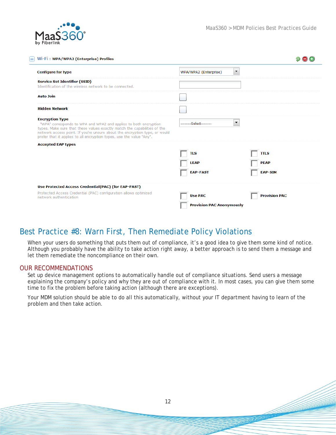

| Wi-Fi: WPA/WPA2 (Enterprise) Profiles                                                                                                                                                                                                                                                                                        |                                                |                      |
|------------------------------------------------------------------------------------------------------------------------------------------------------------------------------------------------------------------------------------------------------------------------------------------------------------------------------|------------------------------------------------|----------------------|
| <b>Configure for type</b>                                                                                                                                                                                                                                                                                                    | $\blacktriangledown$<br>WPA/WPA2 (Enterprise)  |                      |
| <b>Service Set Identifier (SSID)</b><br>Identification of the wireless network to be connected.                                                                                                                                                                                                                              |                                                |                      |
| <b>Auto Join</b>                                                                                                                                                                                                                                                                                                             |                                                |                      |
| <b>Hidden Network</b>                                                                                                                                                                                                                                                                                                        |                                                |                      |
| <b>Encryption Type</b><br>"WPA" corresponds to WPA and WPA2 and applies to both encryption<br>types. Make sure that these values exactly match the capabilities of the<br>network access point. If you're unsure about the encryption type, or would<br>prefer that it applies to all encryption types, use the value "Any". | $\blacktriangledown$<br>--------Select-------- |                      |
| <b>Accepted EAP types</b>                                                                                                                                                                                                                                                                                                    |                                                |                      |
|                                                                                                                                                                                                                                                                                                                              | <b>TLS</b>                                     | <b>TTLS</b>          |
|                                                                                                                                                                                                                                                                                                                              | <b>LEAP</b>                                    | <b>PEAP</b>          |
|                                                                                                                                                                                                                                                                                                                              | <b>EAP-FAST</b>                                | <b>EAP-SIM</b>       |
| Use Protected Access Credential(PAC) (for EAP-FAST)                                                                                                                                                                                                                                                                          |                                                |                      |
| Protected Access Credential (PAC) configuration allows optimized<br>network authentication.                                                                                                                                                                                                                                  | <b>Use PAC</b>                                 | <b>Provision PAC</b> |
|                                                                                                                                                                                                                                                                                                                              | <b>Provision PAC Anonymously</b>               |                      |

# <span id="page-11-0"></span>Best Practice #8: Warn First, Then Remediate Policy Violations

When your users do something that puts them out of compliance, it's a good idea to give them some kind of notice. Although you probably have the ability to take action right away, a better approach is to send them a message and let them remediate the noncompliance on their own.

#### OUR RECOMMENDATIONS

Set up device management options to automatically handle out of compliance situations. Send users a message explaining the company's policy and why they are out of compliance with it. In most cases, you can give them some time to fix the problem before taking action (although there are exceptions).

Your MDM solution should be able to do all this automatically, without your IT department having to learn of the problem and then take action.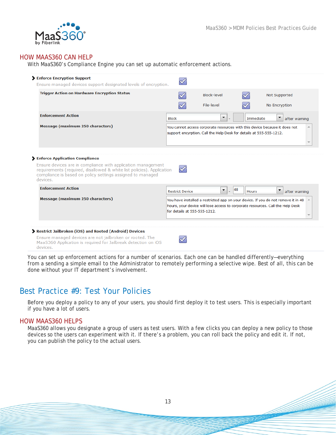

### HOW MAAS360 CAN HELP

With MaaS360's Compliance Engine you can set up automatic enforcement actions.

| Ensure managed devices support designated levels of encryption.                                                                                                                                      |                              |                                                                     |                    |                                                                                                                                                                                   |
|------------------------------------------------------------------------------------------------------------------------------------------------------------------------------------------------------|------------------------------|---------------------------------------------------------------------|--------------------|-----------------------------------------------------------------------------------------------------------------------------------------------------------------------------------|
| <b>Trigger Action on Hardware Encryption Status</b>                                                                                                                                                  |                              | Block-level                                                         |                    | Not Supported                                                                                                                                                                     |
|                                                                                                                                                                                                      |                              | File-level                                                          |                    | No Encryption                                                                                                                                                                     |
| <b>Enforcement Action</b>                                                                                                                                                                            | <b>Block</b>                 | $\blacktriangledown$                                                | Immediate          | ▼<br>after warning                                                                                                                                                                |
| Message (maximum 250 characters)                                                                                                                                                                     |                              | support encyrption. Call the Help Desk for details at 555-555-1212. |                    | You cannot access corporate resources with this device because it does not                                                                                                        |
| Ensure devices are in compliance with application management<br>requirements (required, disallowed & white list policies). Application<br>compliance is based on policy settings assigned to managed |                              |                                                                     |                    |                                                                                                                                                                                   |
|                                                                                                                                                                                                      |                              |                                                                     |                    |                                                                                                                                                                                   |
| <b>Enforcement Action</b>                                                                                                                                                                            | <b>Restrict Device</b>       | $\blacktriangledown$<br>$\overline{\phantom{a}}$                    | 48<br><b>Hours</b> | ▼<br>after warning                                                                                                                                                                |
| devices.<br>Message (maximum 250 characters)                                                                                                                                                         | for details at 555-555-1212. |                                                                     |                    | You have installed a restricted app on your device. If you do not remove it in 48 $\rightarrow$<br>hours, your device will lose access to corporate resources. Call the Help Desk |
| > Restrict Jailbroken (iOS) and Rooted (Android) Devices                                                                                                                                             |                              |                                                                     |                    |                                                                                                                                                                                   |

You can set up enforcement actions for a number of scenarios. Each one can be handled differently—everything from a sending a simple email to the Administrator to remotely performing a selective wipe. Best of all, this can be done without your IT department's involvement.

### <span id="page-12-0"></span>Best Practice #9: Test Your Policies

Before you deploy a policy to any of your users, you should first deploy it to test users. This is especially important if you have a lot of users.

### HOW MAAS360 HELPS

MaaS360 allows you designate a group of users as test users. With a few clicks you can deploy a new policy to those devices so the users can experiment with it. If there's a problem, you can roll back the policy and edit it. If not, you can publish the policy to the actual users.